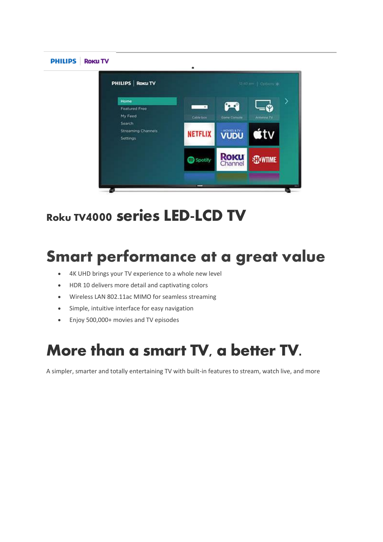

# **Roku TV**4000 series LED-LCD TV

# **Smart performance at a great value**

- 4K UHD brings your TV experience to a whole new level
- HDR 10 delivers more detail and captivating colors
- Wireless LAN 802.11ac MIMO for seamless streaming
- Simple, intuitive interface for easy navigation
- Enjoy 500,000+ movies and TV episodes

# More than a smart TV, a better TV.

A simpler, smarter and totally entertaining TV with built-in features to stream, watch live, and more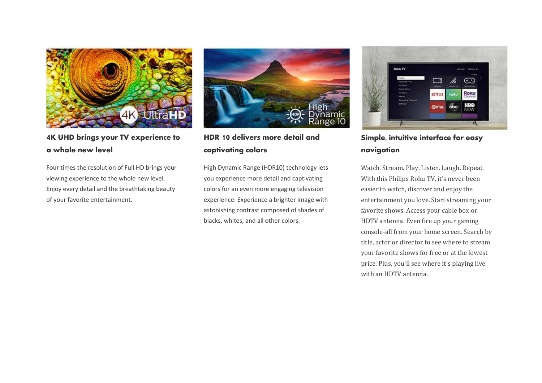

**4K UHD brings your TV experience to a whole new level**

Four times the resolution of Full HD brings your viewing experience to the whole new level. Enjoy every detail and the breathtaking beauty of your favorite entertainment.



**HDR 10 delivers more detail and captivating colors**

High Dynamic Range (HDR10) technology lets you experience more detail and captivating colors for an even more engaging television experience. Experience a brighter image with astonishing contrast composed of shades of blacks, whites, and all other colors.



**Simple, intuitive interface for easy navigation**

Watch. Stream. Play. Listen. Laugh. Repeat. With this Philips Roku TV, it's never been easier to watch, discover and enjoy the entertainment you love. Start streaming your favorite shows. Access your cable box or HDTV antenna. Even fire up your gaming console-all from your home screen. Search by title, actor or director to see where to stream your favorite shows for free or at the lowest price. Plus, you'll see where it's playing live with an HDTV antenna.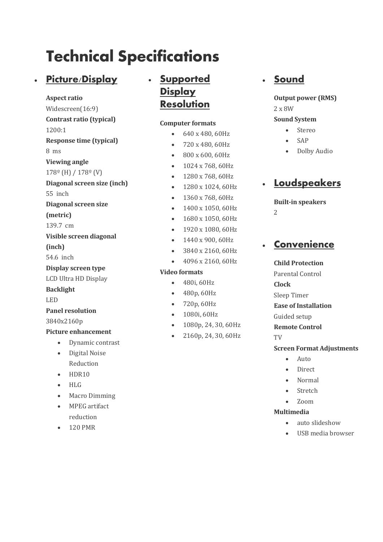# Technical Specifications

## • **Picture/Display**

#### **Aspect ratio**

- Widescreen(16:9)
- **Contrast ratio (typical)**
- 1200:1
- **Response time (typical)**
- 8 ms
- **Viewing angle**
- 178º (H) / 178º (V)
- **Diagonal screen size (inch)**
- 55 inch
- **Diagonal screen size**
- **(metric)**
- 139.7 cm
- **Visible screen diagonal**
- **(inch)**
- 54.6 inch
- **Display screen type**
- LCD Ultra HD Display
- **Backlight**
- LED
- **Panel resolution**
- 3840x2160p

## **Picture enhancement**

- Dynamic contrast
- Digital Noise Reduction
- HDR10
- HLG
- Macro Dimming
- MPEG artifact reduction
- 120 PMR

## • **Supported Display Resolution**

### **Computer formats**

- 640 x 480, 60Hz
- 720 x 480, 60Hz
- 800 x 600, 60Hz
- 1024 x 768, 60Hz
- 1280 x 768, 60Hz
- 1280 x 1024, 60Hz
- 1360 x 768, 60Hz
- 1400 x 1050, 60Hz
- 1680 x 1050, 60Hz
- 1920 x 1080, 60Hz
- 1440 x 900, 60Hz
- 3840 x 2160, 60Hz
- 4096 x 2160, 60Hz

## **Video formats**

- 
- 480p, 60Hz
- 720p, 60Hz
- 1080i, 60Hz
- 1080p, 24, 30, 60Hz
- 2160p, 24, 30, 60Hz

## • **Sound**

## **Output power (RMS)** 2 x 8W

### **Sound System**

- Stereo
- SAP
- Dolby Audio

## • **Loudspeakers**

### **Built-in speakers**  $\overline{2}$

## • **Convenience**

#### **Child Protection**

- Parental Control
- **Clock**
- Sleep Timer
- **Ease of Installation**
- Guided setup
- **Remote Control**
- TV

## **Screen Format Adjustments**

- Auto
- Direct
- Normal
- **Stretch**
- Zoom

## **Multimedia**

- auto slideshow
- USB media browser

- 480i, 60Hz
- 
- 
- 
- 
-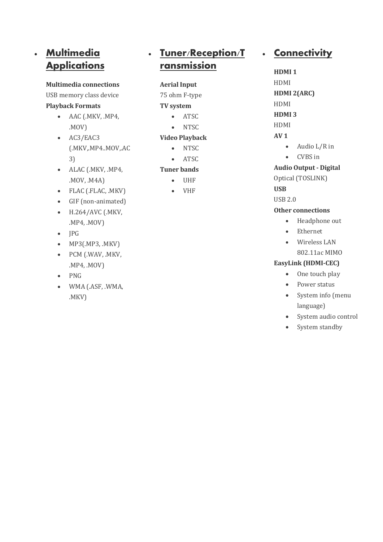## • **Multimedia Applications**

#### **Multimedia connections**

USB memory class device

#### **Playback Formats**

- AAC (.MKV, .MP4, .MOV)
- AC3/EAC3 (.MKV,.MP4..MOV,.AC 3)
- ALAC (.MKV, .MP4, .MOV, .M4A)
- FLAC (.FLAC, .MKV)
- GIF (non-animated)
- H.264/AVC (.MKV, .MP4, .MOV)
- JPG
- MP3(.MP3, .MKV)
- PCM (.WAV, .MKV, .MP4, .MOV)
- PNG
- WMA (.ASF, .WMA, .MKV)

## • **Tuner/Reception/T ransmission**

#### **Aerial Input**

75 ohm F-type

#### **TV system**

- ATSC
- NTSC

#### **Video Playback**

- NTSC
- ATSC

#### **Tuner bands**

- UHF
- VHF

## • **Connectivity**

- **HDMI 1** HDMI **HDMI 2(ARC)** HDMI
- **HDMI 3**
- HDMI

## **AV 1**

- Audio L/R in
- CVBS in

## **Audio Output - Digital**

Optical (TOSLINK)

## **USB**

USB 2.0

## **Other connections**

- Headphone out
- Ethernet
- Wireless LAN 802.11ac MIMO

## **EasyLink (HDMI-CEC)**

- One touch play
- Power status
- System info (menu language)
- System audio control
- System standby